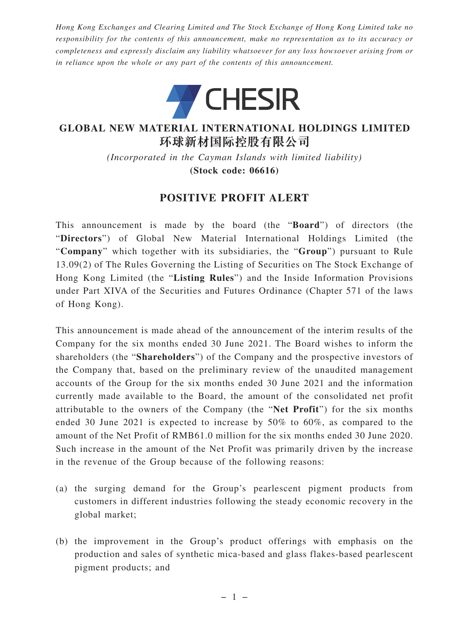*Hong Kong Exchanges and Clearing Limited and The Stock Exchange of Hong Kong Limited take no responsibility for the contents of this announcement, make no representation as to its accuracy or completeness and expressly disclaim any liability whatsoever for any loss howsoever arising from or in reliance upon the whole or any part of the contents of this announcement.*



## **GLOBAL NEW MATERIAL INTERNATIONAL HOLDINGS LIMITED 環球新材國際控股有限公司**

*(Incorporated in the Cayman Islands with limited liability)* **(Stock code: 06616)**

## **POSITIVE PROFIT ALERT**

This announcement is made by the board (the "**Board**") of directors (the "**Directors**") of Global New Material International Holdings Limited (the "**Company**" which together with its subsidiaries, the "**Group**") pursuant to Rule 13.09(2) of The Rules Governing the Listing of Securities on The Stock Exchange of Hong Kong Limited (the "**Listing Rules**") and the Inside Information Provisions under Part XIVA of the Securities and Futures Ordinance (Chapter 571 of the laws of Hong Kong).

This announcement is made ahead of the announcement of the interim results of the Company for the six months ended 30 June 2021. The Board wishes to inform the shareholders (the "**Shareholders**") of the Company and the prospective investors of the Company that, based on the preliminary review of the unaudited management accounts of the Group for the six months ended 30 June 2021 and the information currently made available to the Board, the amount of the consolidated net profit attributable to the owners of the Company (the "**Net Profit**") for the six months ended 30 June 2021 is expected to increase by 50% to 60%, as compared to the amount of the Net Profit of RMB61.0 million for the six months ended 30 June 2020. Such increase in the amount of the Net Profit was primarily driven by the increase in the revenue of the Group because of the following reasons:

- (a) the surging demand for the Group's pearlescent pigment products from customers in different industries following the steady economic recovery in the global market;
- (b) the improvement in the Group's product offerings with emphasis on the production and sales of synthetic mica-based and glass flakes-based pearlescent pigment products; and